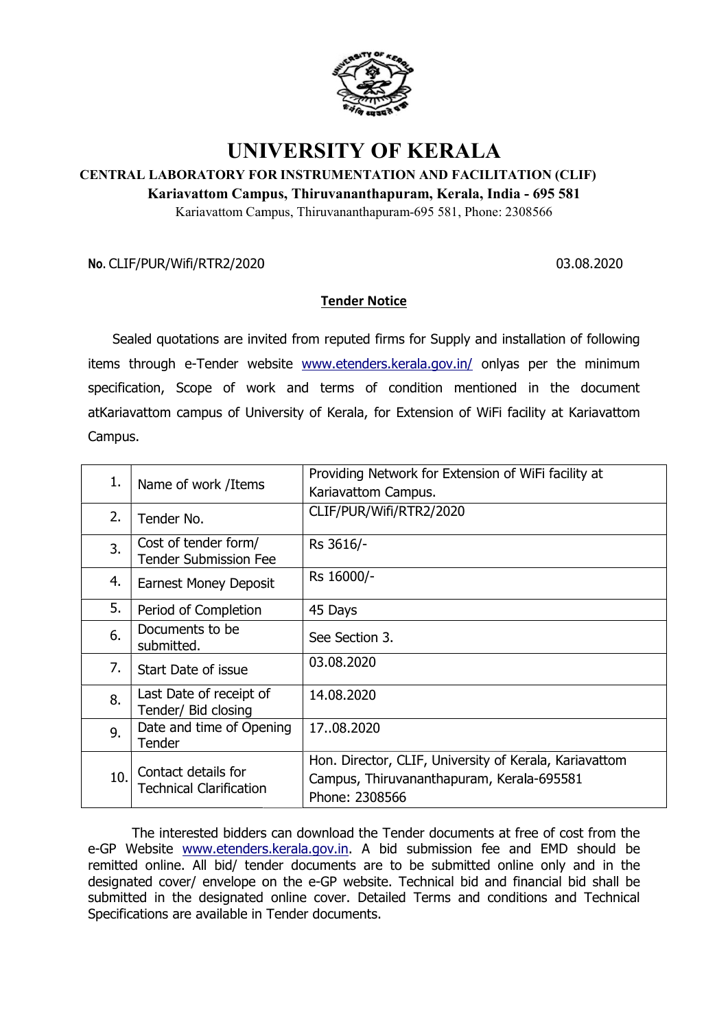

## UNIVERSITY OF KERALA

## CENTRAL LABORATORY FOR INSTRUMENTATION AND FACILITATION (CLIF) LABORATORY FOR

Kariavattom Campus, Thiruvananthapuram, Kerala, India -

## Tender Notice

| Kariavattom Campus, Thiruvananthapuram, Kerala, India - 695 581<br>Kariavattom Campus, Thiruvananthapuram-695 581, Phone: 2308566 |                                                       |                                                                                                                                                                                                                                                                                                                                                                                                                                                    |  |  |  |
|-----------------------------------------------------------------------------------------------------------------------------------|-------------------------------------------------------|----------------------------------------------------------------------------------------------------------------------------------------------------------------------------------------------------------------------------------------------------------------------------------------------------------------------------------------------------------------------------------------------------------------------------------------------------|--|--|--|
|                                                                                                                                   | No. CLIF/PUR/Wifi/RTR2/2020                           | 03.08.2020                                                                                                                                                                                                                                                                                                                                                                                                                                         |  |  |  |
|                                                                                                                                   |                                                       | <b>Tender Notice</b>                                                                                                                                                                                                                                                                                                                                                                                                                               |  |  |  |
|                                                                                                                                   |                                                       | Sealed quotations are invited from reputed firms for Supply and installation of following                                                                                                                                                                                                                                                                                                                                                          |  |  |  |
|                                                                                                                                   |                                                       | items through e-Tender website www.etenders.kerala.gov.in/ onlyas per the minimum                                                                                                                                                                                                                                                                                                                                                                  |  |  |  |
|                                                                                                                                   |                                                       | specification, Scope of work and terms of condition mentioned in the document                                                                                                                                                                                                                                                                                                                                                                      |  |  |  |
|                                                                                                                                   |                                                       | atKariavattom campus of University of Kerala, for Extension of WiFi facility at Kariavattom                                                                                                                                                                                                                                                                                                                                                        |  |  |  |
| Campus.                                                                                                                           |                                                       |                                                                                                                                                                                                                                                                                                                                                                                                                                                    |  |  |  |
|                                                                                                                                   |                                                       |                                                                                                                                                                                                                                                                                                                                                                                                                                                    |  |  |  |
| 1.                                                                                                                                | Name of work /Items                                   | Providing Network for Extension of WiFi facility at<br>Kariavattom Campus.                                                                                                                                                                                                                                                                                                                                                                         |  |  |  |
| 2.                                                                                                                                | Tender No.                                            | CLIF/PUR/Wifi/RTR2/2020                                                                                                                                                                                                                                                                                                                                                                                                                            |  |  |  |
| 3.                                                                                                                                | Cost of tender form/<br><b>Tender Submission Fee</b>  | Rs 3616/-                                                                                                                                                                                                                                                                                                                                                                                                                                          |  |  |  |
| 4.                                                                                                                                | <b>Earnest Money Deposit</b>                          | Rs 16000/-                                                                                                                                                                                                                                                                                                                                                                                                                                         |  |  |  |
| 5.                                                                                                                                | Period of Completion                                  | 45 Days                                                                                                                                                                                                                                                                                                                                                                                                                                            |  |  |  |
| 6.                                                                                                                                | Documents to be<br>submitted.                         | See Section 3.                                                                                                                                                                                                                                                                                                                                                                                                                                     |  |  |  |
| 7.                                                                                                                                | Start Date of issue                                   | 03.08.2020                                                                                                                                                                                                                                                                                                                                                                                                                                         |  |  |  |
| 8.                                                                                                                                | Last Date of receipt of<br>Tender/ Bid closing        | 14.08.2020                                                                                                                                                                                                                                                                                                                                                                                                                                         |  |  |  |
| 9.                                                                                                                                | Date and time of Opening<br>Tender                    | 1708.2020                                                                                                                                                                                                                                                                                                                                                                                                                                          |  |  |  |
| 10.                                                                                                                               | Contact details for<br><b>Technical Clarification</b> | Hon. Director, CLIF, University of Kerala, Kariavattom<br>Campus, Thiruvananthapuram, Kerala-695581<br>Phone: 2308566                                                                                                                                                                                                                                                                                                                              |  |  |  |
|                                                                                                                                   |                                                       | The interested bidders can download the Tender documents at free of cost from the<br>e-GP Website www.etenders.kerala.gov.in. A bid submission fee and EMD should be<br>remitted online. All bid/ tender documents are to be submitted online only and in the<br>designated cover/ envelope on the e-GP website. Technical bid and financial bid shall be<br>submitted in the designated online cover. Detailed Terms and conditions and Technical |  |  |  |

The interested bidders can download the Tender documents at free of cost from the The interested bidders can download the Tender documents at free of cost from the e-GP Website www.etenders.kerala.gov.in. A bid submission fee and EMD should be remitted online. All bid/ tender documents are to be submitted online only and in the remitted online. All bid/ tender documents are to be submitted online only and in the designated cover/ envelope on the e-GP website. Technical bid and financial bid shall be submitted in the designated online cover. Detailed Terms and conditions and Technical Specifications are available in Tender documents. . A bid submissi<br>:s are to be subn<br>vebsite. Technical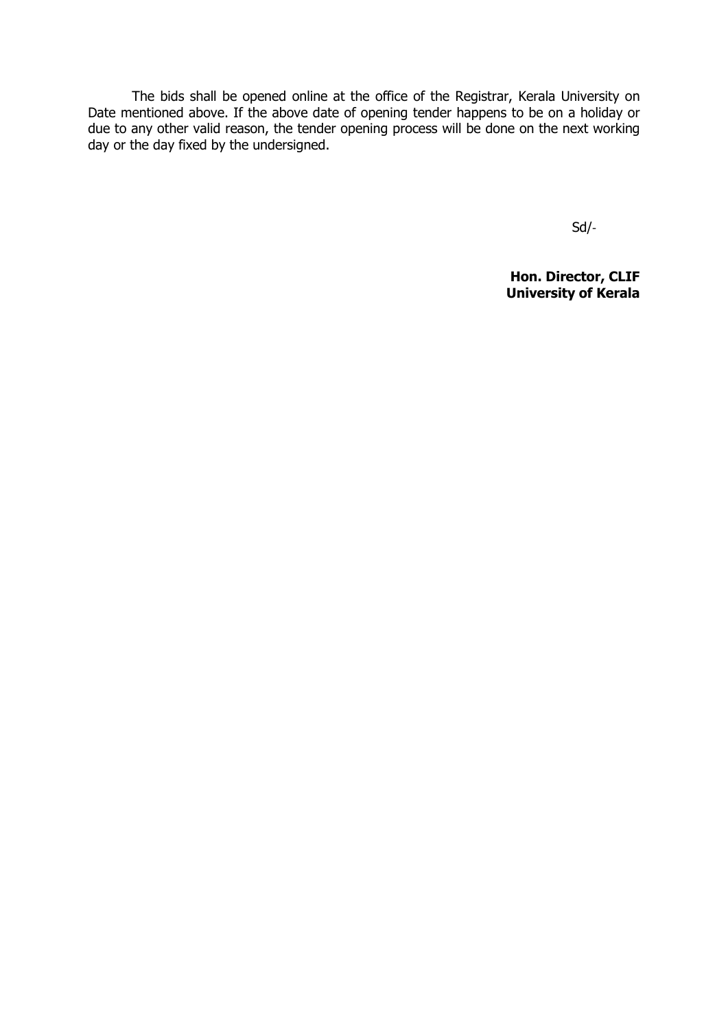The bids shall be opened online at the office of the Registrar, Kerala University on Date mentioned above. If the above date of opening tender happens to be on a holiday or due to any other valid reason, the tender opening process will be done on the next working day or the day fixed by the undersigned.

Sd/-

Hon. Director, CLIF University of Kerala